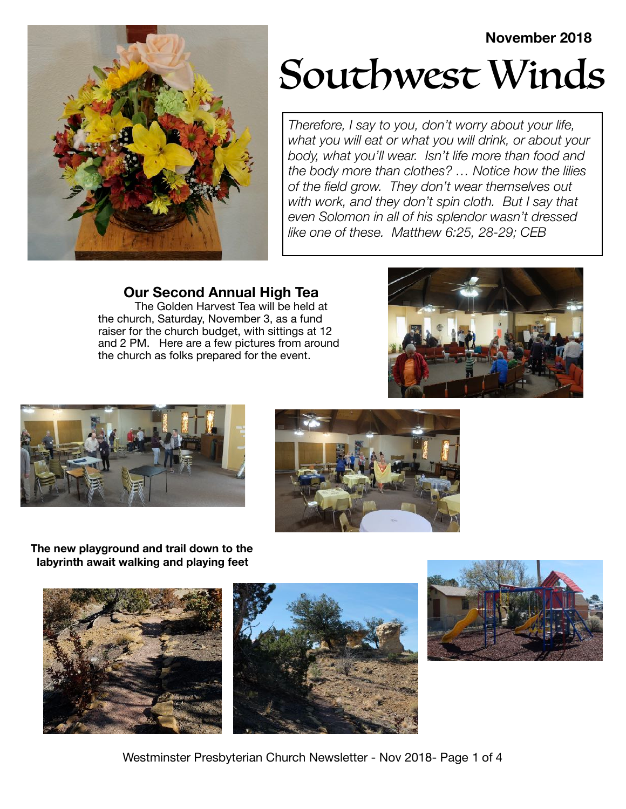## **November 2018**



# Southwest Winds

*Therefore, I say to you, don't worry about your life, what you will eat or what you will drink, or about your body, what you'll wear. Isn't life more than food and the body more than clothes? … Notice how the lilies of the field grow. They don't wear themselves out with work, and they don't spin cloth. But I say that even Solomon in all of his splendor wasn't dressed like one of these. Matthew 6:25, 28-29; CEB*

**Our Second Annual High Tea** 

The Golden Harvest Tea will be held at the church, Saturday, November 3, as a fund raiser for the church budget, with sittings at 12 and 2 PM. Here are a few pictures from around the church as folks prepared for the event.







**The new playground and trail down to the labyrinth await walking and playing feet**







Westminster Presbyterian Church Newsletter - Nov 2018- Page 1 of 4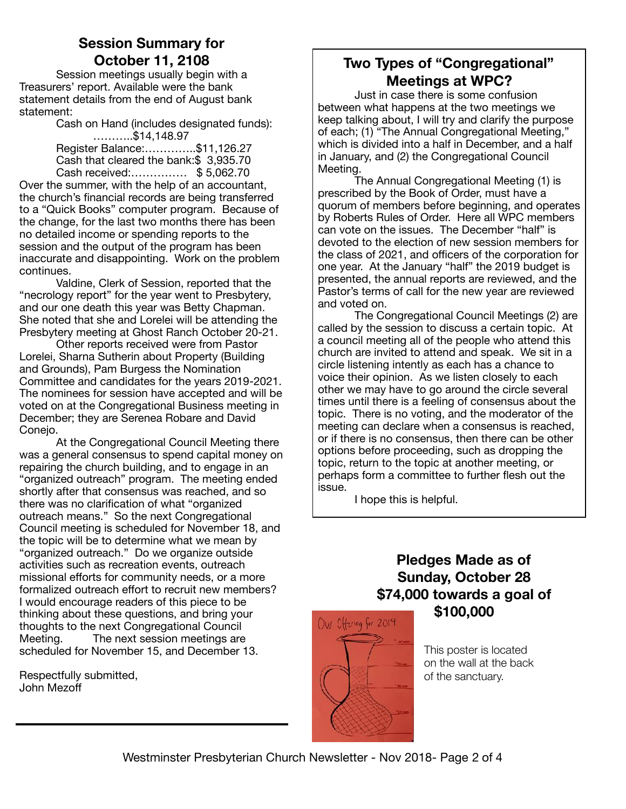## **Session Summary for October 11, 2108**

Session meetings usually begin with a Treasurers' report. Available were the bank statement details from the end of August bank statement:

Cash on Hand (includes designated funds): ………..\$14,148.97

Register Balance:…………..\$11,126.27 Cash that cleared the bank:\$ 3,935.70 Cash received:…………… \$ 5,062.70

Over the summer, with the help of an accountant, the church's financial records are being transferred to a "Quick Books" computer program. Because of the change, for the last two months there has been no detailed income or spending reports to the session and the output of the program has been inaccurate and disappointing. Work on the problem continues.

Valdine, Clerk of Session, reported that the "necrology report" for the year went to Presbytery, and our one death this year was Betty Chapman. She noted that she and Lorelei will be attending the Presbytery meeting at Ghost Ranch October 20-21.

Other reports received were from Pastor Lorelei, Sharna Sutherin about Property (Building and Grounds), Pam Burgess the Nomination Committee and candidates for the years 2019-2021. The nominees for session have accepted and will be voted on at the Congregational Business meeting in December; they are Serenea Robare and David Conejo.

At the Congregational Council Meeting there was a general consensus to spend capital money on repairing the church building, and to engage in an "organized outreach" program. The meeting ended shortly after that consensus was reached, and so there was no clarification of what "organized outreach means." So the next Congregational Council meeting is scheduled for November 18, and the topic will be to determine what we mean by "organized outreach." Do we organize outside activities such as recreation events, outreach missional efforts for community needs, or a more formalized outreach effort to recruit new members? I would encourage readers of this piece to be thinking about these questions, and bring your thoughts to the next Congregational Council Meeting. The next session meetings are scheduled for November 15, and December 13.

Respectfully submitted, John Mezoff

## **Two Types of "Congregational" Meetings at WPC?**

Just in case there is some confusion between what happens at the two meetings we keep talking about, I will try and clarify the purpose of each; (1) "The Annual Congregational Meeting," which is divided into a half in December, and a half in January, and (2) the Congregational Council Meeting.

The Annual Congregational Meeting (1) is prescribed by the Book of Order, must have a quorum of members before beginning, and operates by Roberts Rules of Order. Here all WPC members can vote on the issues. The December "half" is devoted to the election of new session members for the class of 2021, and officers of the corporation for one year. At the January "half" the 2019 budget is presented, the annual reports are reviewed, and the Pastor's terms of call for the new year are reviewed and voted on.

The Congregational Council Meetings (2) are called by the session to discuss a certain topic. At a council meeting all of the people who attend this church are invited to attend and speak. We sit in a circle listening intently as each has a chance to voice their opinion. As we listen closely to each other we may have to go around the circle several times until there is a feeling of consensus about the topic. There is no voting, and the moderator of the meeting can declare when a consensus is reached, or if there is no consensus, then there can be other options before proceeding, such as dropping the topic, return to the topic at another meeting, or perhaps form a committee to further flesh out the issue.

I hope this is helpful.

## **Pledges Made as of Sunday, October 28 \$74,000 towards a goal of \$100,000**



This poster is located on the wall at the back of the sanctuary.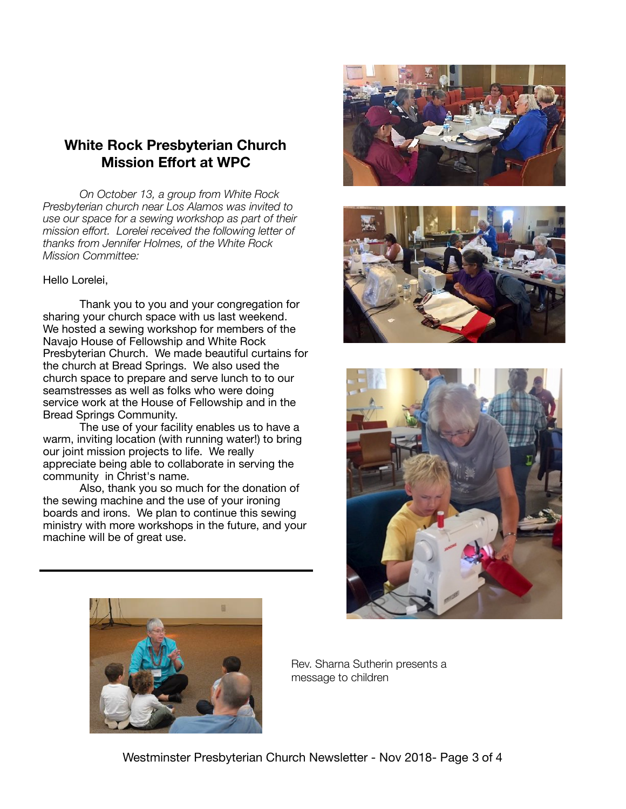## **White Rock Presbyterian Church Mission Effort at WPC**

*On October 13, a group from White Rock Presbyterian church near Los Alamos was invited to use our space for a sewing workshop as part of their mission effort. Lorelei received the following letter of thanks from Jennifer Holmes, of the White Rock Mission Committee:*

#### Hello Lorelei,

Thank you to you and your congregation for sharing your church space with us last weekend. We hosted a sewing workshop for members of the Navajo House of Fellowship and White Rock Presbyterian Church. We made beautiful curtains for the church at Bread Springs. We also used the church space to prepare and serve lunch to to our seamstresses as well as folks who were doing service work at the House of Fellowship and in the Bread Springs Community.

The use of your facility enables us to have a warm, inviting location (with running water!) to bring our joint mission projects to life. We really appreciate being able to collaborate in serving the community in Christ's name.

Also, thank you so much for the donation of the sewing machine and the use of your ironing boards and irons. We plan to continue this sewing ministry with more workshops in the future, and your machine will be of great use. 









Rev. Sharna Sutherin presents a message to children